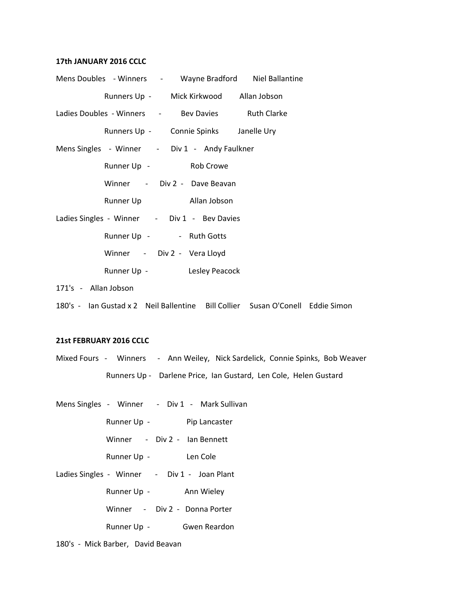### **17th JANUARY 2016 CCLC**

| Mens Doubles - Winners - Wayne Bradford Niel Ballantine                                                                                                                                                                        |
|--------------------------------------------------------------------------------------------------------------------------------------------------------------------------------------------------------------------------------|
| Runners Up - Mick Kirkwood Allan Jobson                                                                                                                                                                                        |
| Ladies Doubles - Winners - Bev Davies Ruth Clarke                                                                                                                                                                              |
| Runners Up - Connie Spinks Janelle Ury                                                                                                                                                                                         |
| Mens Singles - Winner - Div 1 - Andy Faulkner                                                                                                                                                                                  |
| Runner Up - Rob Crowe                                                                                                                                                                                                          |
| Winner - Div 2 - Dave Beavan                                                                                                                                                                                                   |
| Runner Up Bunner Up Bunner Up Bunner Up Bunner Up Bunner Up Bunner Up Bunner Up Bunner Up Bunner Up Bunner Up Bunner Up Bunner Up Bunner Up Bunner Up Bunner Up Bunner Up Bunner Up Bunner Up Bunner Up Bunner Up Bunner Up Bu |
| Ladies Singles - Winner - Div 1 - Bev Davies                                                                                                                                                                                   |
| Runner Up - - - Ruth Gotts                                                                                                                                                                                                     |
| Winner - Div 2 - Vera Lloyd                                                                                                                                                                                                    |
| Runner Up - Lesley Peacock                                                                                                                                                                                                     |
| 171's - Allan Jobson                                                                                                                                                                                                           |
| 180's - Ian Gustad x 2 Neil Ballentine Bill Collier Susan O'Conell Eddie Simon                                                                                                                                                 |

#### **21st FEBRUARY 2016 CCLC**

Mixed Fours - Winners - Ann Weiley, Nick Sardelick, Connie Spinks, Bob Weaver Runners Up - Darlene Price, Ian Gustard, Len Cole, Helen Gustard

Mens Singles - Winner - Div 1 - Mark Sullivan Runner Up - Pip Lancaster Winner - Div 2 - Ian Bennett Runner Up - Len Cole Ladies Singles - Winner - Div 1 - Joan Plant Runner Up - Ann Wieley Winner - Div 2 - Donna Porter Runner Up - Gwen Reardon

180's - Mick Barber, David Beavan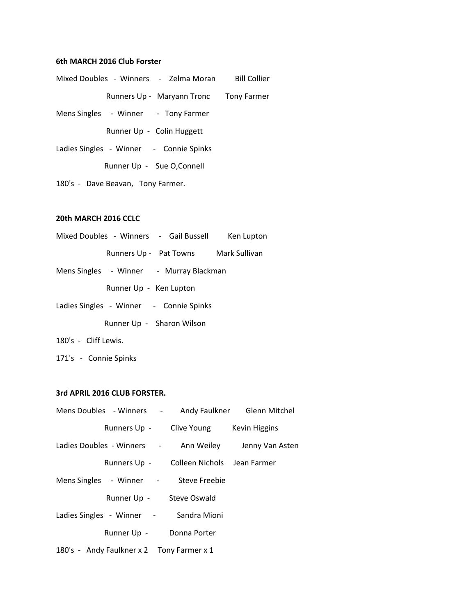### **6th MARCH 2016 Club Forster**

- Mixed Doubles Winners Zelma Moran Bill Collier Runners Up - Maryann Tronc Tony Farmer
- Mens Singles Winner Tony Farmer

Runner Up - Colin Huggett

Ladies Singles - Winner - Connie Spinks

Runner Up - Sue O,Connell

180's - Dave Beavan, Tony Farmer.

# **20th MARCH 2016 CCLC**

- Mixed Doubles Winners Gail Bussell Ken Lupton Runners Up - Pat Towns Mark Sullivan
- Mens Singles Winner Murray Blackman Runner Up - Ken Lupton
- Ladies Singles Winner Connie Spinks

Runner Up - Sharon Wilson

- 180's Cliff Lewis.
- 171's Connie Spinks

### **3rd APRIL 2016 CLUB FORSTER.**

|                                           |                                          | Mens Doubles - Winners - Andy Faulkner Glenn Mitchel  |
|-------------------------------------------|------------------------------------------|-------------------------------------------------------|
|                                           | Runners Up - Clive Young Kevin Higgins   |                                                       |
|                                           |                                          | Ladies Doubles - Winners - Ann Weiley Jenny Van Asten |
|                                           | Runners Up - Colleen Nichols Jean Farmer |                                                       |
| Mens Singles - Winner - Steve Freebie     |                                          |                                                       |
| Runner Up - Steve Oswald                  |                                          |                                                       |
| Ladies Singles - Winner - Sandra Mioni    |                                          |                                                       |
| Runner Up - Donna Porter                  |                                          |                                                       |
| 180's - Andy Faulkner x 2 Tony Farmer x 1 |                                          |                                                       |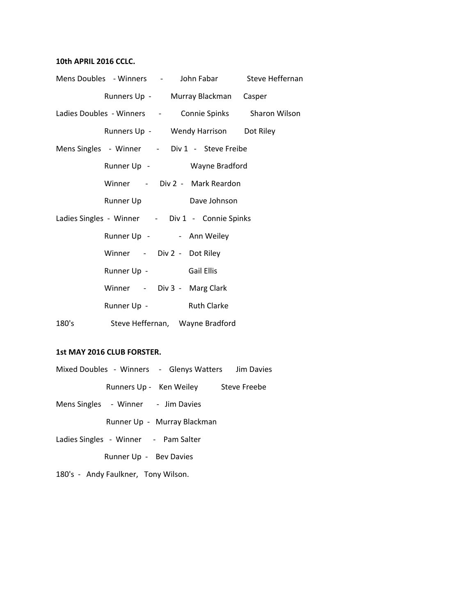# **10th APRIL 2016 CCLC.**

|       | Mens Doubles - Winners - John Fabar Steve Heffernan    |  |
|-------|--------------------------------------------------------|--|
|       | Runners Up - Murray Blackman Casper                    |  |
|       | Ladies Doubles - Winners - Connie Spinks Sharon Wilson |  |
|       | Runners Up - Wendy Harrison Dot Riley                  |  |
|       | Mens Singles - Winner - Div 1 - Steve Freibe           |  |
|       | Runner Up - Wayne Bradford                             |  |
|       | Winner - Div 2 - Mark Reardon                          |  |
|       | Runner Up <b>Dave Johnson</b>                          |  |
|       | Ladies Singles - Winner - Div 1 - Connie Spinks        |  |
|       | Runner Up - - - Ann Weiley                             |  |
|       | Winner - Div 2 - Dot Riley                             |  |
|       | Runner Up - Gail Ellis                                 |  |
|       | Winner - Div 3 - Marg Clark                            |  |
|       | Runner Up - Ruth Clarke                                |  |
| 180's | Steve Heffernan, Wayne Bradford                        |  |

# **1st MAY 2016 CLUB FORSTER.**

|                                    | Mixed Doubles - Winners - Glenys Watters | Jim Davies   |
|------------------------------------|------------------------------------------|--------------|
| Runners Up - Ken Weiley            |                                          | Steve Freebe |
| Mens Singles - Winner - Jim Davies |                                          |              |

Runner Up - Murray Blackman

Ladies Singles - Winner - Pam Salter

Runner Up - Bev Davies

180's - Andy Faulkner, Tony Wilson.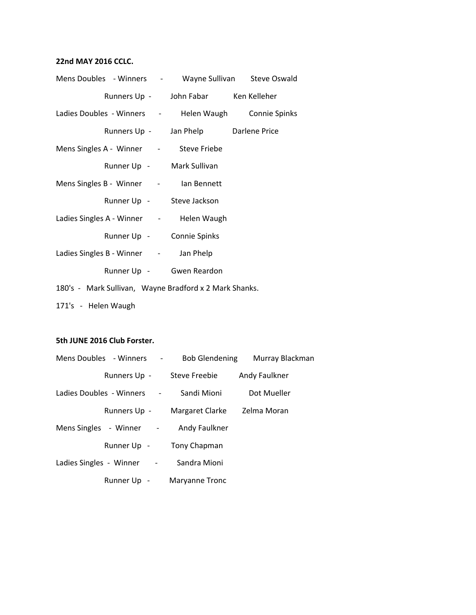# **22nd MAY 2016 CCLC.**

| Mens Doubles - Winners - Wayne Sullivan Steve Oswald   |                                      |  |
|--------------------------------------------------------|--------------------------------------|--|
|                                                        | Runners Up - John Fabar Ken Kelleher |  |
| Ladies Doubles - Winners - Helen Waugh Connie Spinks   |                                      |  |
|                                                        | Runners Up - Jan Phelp Darlene Price |  |
| Mens Singles A - Winner - Steve Friebe                 |                                      |  |
|                                                        | Runner Up - Mark Sullivan            |  |
| Mens Singles B - Winner - lan Bennett                  |                                      |  |
|                                                        | Runner Up - Steve Jackson            |  |
| Ladies Singles A - Winner - Helen Waugh                |                                      |  |
|                                                        | Runner Up - Connie Spinks            |  |
| Ladies Singles B - Winner - Jan Phelp                  |                                      |  |
|                                                        | Runner Up - Gwen Reardon             |  |
| 180's - Mark Sullivan, Wayne Bradford x 2 Mark Shanks. |                                      |  |
| 171's - Helen Waugh                                    |                                      |  |

### **5th JUNE 2016 Club Forster.**

| Mens Doubles - Winners -   | <b>Bob Glendening</b> | Murray Blackman |
|----------------------------|-----------------------|-----------------|
| Runners Up - Steve Freebie |                       | Andy Faulkner   |
| Ladies Doubles - Winners - | Sandi Mioni           | Dot Mueller     |
| Runners Up -               | Margaret Clarke       | Zelma Moran     |
| Mens Singles - Winner -    | Andy Faulkner         |                 |
| Runner Up -                | Tony Chapman          |                 |
| Ladies Singles - Winner -  | Sandra Mioni          |                 |
| Runner Up -                | Maryanne Tronc        |                 |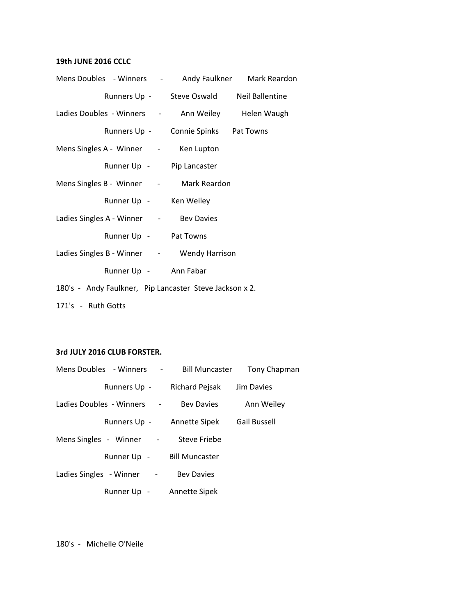# **19th JUNE 2016 CCLC**

| Mens Doubles - Winners - Andy Faulkner Mark Reardon     |                                           |  |
|---------------------------------------------------------|-------------------------------------------|--|
|                                                         | Runners Up - Steve Oswald Neil Ballentine |  |
| Ladies Doubles - Winners - Ann Weiley Helen Waugh       |                                           |  |
|                                                         | Runners Up - Connie Spinks Pat Towns      |  |
| Mens Singles A - Winner - Ken Lupton                    |                                           |  |
| Runner Up - Pip Lancaster                               |                                           |  |
| Mens Singles B - Winner - Mark Reardon                  |                                           |  |
| Runner Up - Ken Weiley                                  |                                           |  |
| Ladies Singles A - Winner - Bev Davies                  |                                           |  |
| Runner Up - Pat Towns                                   |                                           |  |
| Ladies Singles B - Winner - Wendy Harrison              |                                           |  |
| Runner Up - Ann Fabar                                   |                                           |  |
| 180's - Andy Faulkner, Pip Lancaster Steve Jackson x 2. |                                           |  |
| 171's - Ruth Gotts                                      |                                           |  |

### **3rd JULY 2016 CLUB FORSTER.**

| Mens Doubles - Winners - Bill Muncaster |                            | Tony Chapman        |
|-----------------------------------------|----------------------------|---------------------|
| Runners Up -                            | Richard Pejsak Jim Davies  |                     |
| Ladies Doubles - Winners -              | <b>Bey Davies</b>          | Ann Weiley          |
|                                         | Runners Up - Annette Sipek | <b>Gail Bussell</b> |
| Mens Singles - Winner -                 | <b>Steve Friebe</b>        |                     |
| Runner Up - Bill Muncaster              |                            |                     |
| Ladies Singles - Winner -               | <b>Bev Davies</b>          |                     |
| Runner Up -                             | Annette Sipek              |                     |

180's - Michelle O'Neile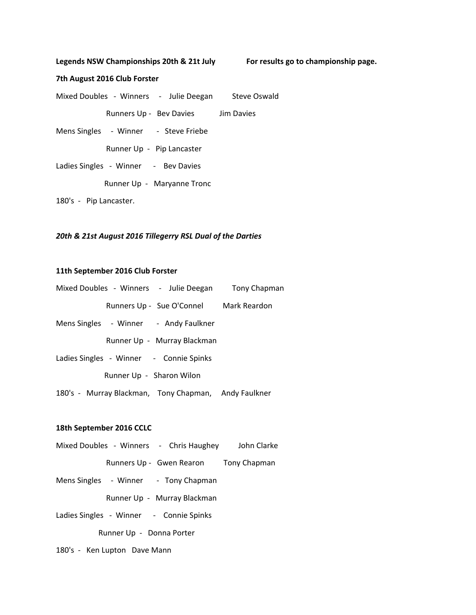Legends NSW Championships 20th & 21t July For results go to championship page.

#### **7th August 2016 Club Forster**

Mixed Doubles - Winners - Julie Deegan Steve Oswald Runners Up - Bev Davies Jim Davies Mens Singles - Winner - Steve Friebe Runner Up - Pip Lancaster Ladies Singles - Winner - Bev Davies Runner Up - Maryanne Tronc 180's - Pip Lancaster.

#### *20th & 21st August 2016 Tillegerry RSL Dual of the Darties*

#### **11th September 2016 Club Forster**

|  | Mixed Doubles - Winners - Julie Deegan Tony Chapman  |  |
|--|------------------------------------------------------|--|
|  | Runners Up - Sue O'Connel Mark Reardon               |  |
|  | Mens Singles - Winner - Andy Faulkner                |  |
|  | Runner Up - Murray Blackman                          |  |
|  | Ladies Singles - Winner - Connie Spinks              |  |
|  | Runner Up - Sharon Wilon                             |  |
|  | 180's - Murray Blackman, Tony Chapman, Andy Faulkner |  |

#### **18th September 2016 CCLC**

- Mixed Doubles Winners Chris Haughey John Clarke
	- Runners Up Gwen Rearon Tony Chapman
- Mens Singles Winner Tony Chapman
	- Runner Up Murray Blackman
- Ladies Singles Winner Connie Spinks

Runner Up - Donna Porter

180's - Ken Lupton Dave Mann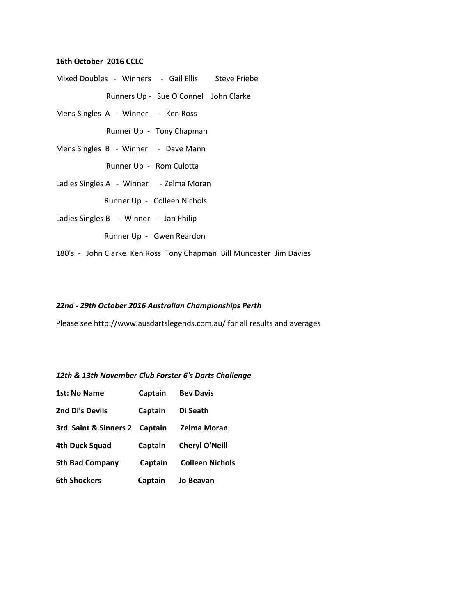### **16th October 2016 CCLC**

- Mixed Doubles Winners Gail Ellis Steve Friebe Runners Up - Sue O'Connel John Clarke
- Mens Singles A Winner Ken Ross

Runner Up - Tony Chapman

Mens Singles B - Winner - Dave Mann

Runner Up - Rom Culotta

Ladies Singles A - Winner - Zelma Moran

Runner Up - Colleen Nichols

Ladies Singles B - Winner - Jan Philip

Runner Up - Gwen Reardon

180's - John Clarke Ken Ross Tony Chapman Bill Muncaster Jim Davies

#### *22nd - 29th October 2016 Australian Championships Perth*

Please see http://www.ausdartslegends.com.au/ for all results and averages

#### *12th & 13th November Club Forster 6's Darts Challenge*

| 1st: No Name                  | Captain | <b>Bev Davis</b>       |
|-------------------------------|---------|------------------------|
| 2nd Di's Devils               | Captain | Di Seath               |
| 3rd Saint & Sinners 2 Captain |         | Zelma Moran            |
| 4th Duck Squad                | Captain | <b>Cheryl O'Neill</b>  |
| <b>5th Bad Company</b>        | Captain | <b>Colleen Nichols</b> |
| 6th Shockers                  | Captain | Jo Beavan              |